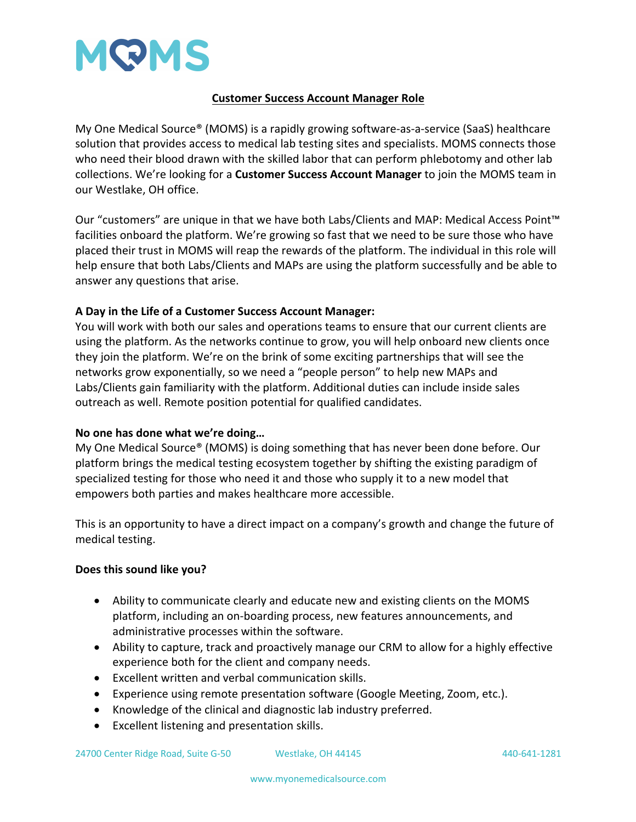

## **Customer Success Account Manager Role**

My One Medical Source® (MOMS) is a rapidly growing software-as-a-service (SaaS) healthcare solution that provides access to medical lab testing sites and specialists. MOMS connects those who need their blood drawn with the skilled labor that can perform phlebotomy and other lab collections. We're looking for a **Customer Success Account Manager** to join the MOMS team in our Westlake, OH office.

Our "customers" are unique in that we have both Labs/Clients and MAP: Medical Access Point™ facilities onboard the platform. We're growing so fast that we need to be sure those who have placed their trust in MOMS will reap the rewards of the platform. The individual in this role will help ensure that both Labs/Clients and MAPs are using the platform successfully and be able to answer any questions that arise.

## **A Day in the Life of a Customer Success Account Manager:**

You will work with both our sales and operations teams to ensure that our current clients are using the platform. As the networks continue to grow, you will help onboard new clients once they join the platform. We're on the brink of some exciting partnerships that will see the networks grow exponentially, so we need a "people person" to help new MAPs and Labs/Clients gain familiarity with the platform. Additional duties can include inside sales outreach as well. Remote position potential for qualified candidates.

## **No one has done what we're doing…**

My One Medical Source® (MOMS) is doing something that has never been done before. Our platform brings the medical testing ecosystem together by shifting the existing paradigm of specialized testing for those who need it and those who supply it to a new model that empowers both parties and makes healthcare more accessible.

This is an opportunity to have a direct impact on a company's growth and change the future of medical testing.

## **Does this sound like you?**

- Ability to communicate clearly and educate new and existing clients on the MOMS platform, including an on-boarding process, new features announcements, and administrative processes within the software.
- Ability to capture, track and proactively manage our CRM to allow for a highly effective experience both for the client and company needs.
- Excellent written and verbal communication skills.
- Experience using remote presentation software (Google Meeting, Zoom, etc.).
- Knowledge of the clinical and diagnostic lab industry preferred.
- Excellent listening and presentation skills.